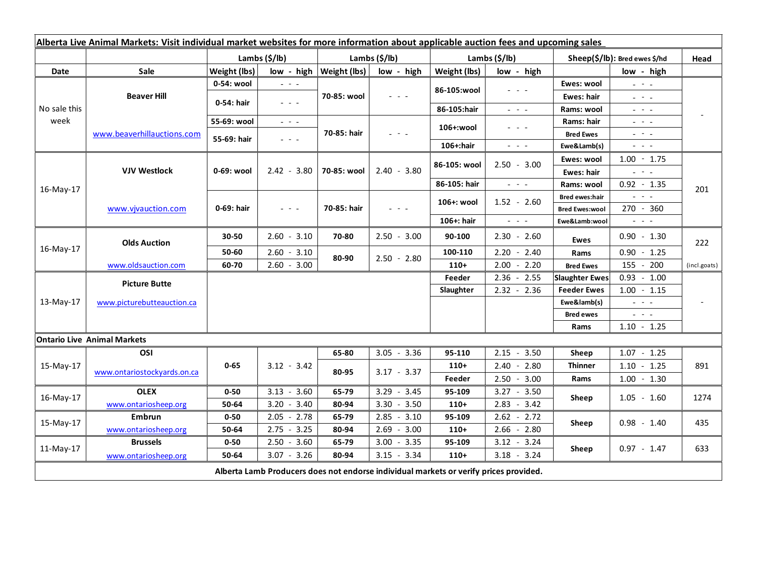| Alberta Live Animal Markets: Visit individual market websites for more information about applicable auction fees and upcoming sales |                                    |                           |                                                                                                 |                           |                                 |                           |                                                                                                                           |                                 |                                                                                                                                                      |              |
|-------------------------------------------------------------------------------------------------------------------------------------|------------------------------------|---------------------------|-------------------------------------------------------------------------------------------------|---------------------------|---------------------------------|---------------------------|---------------------------------------------------------------------------------------------------------------------------|---------------------------------|------------------------------------------------------------------------------------------------------------------------------------------------------|--------------|
|                                                                                                                                     |                                    | Lambs $(\frac{2}{3})$ lb) |                                                                                                 | Lambs $(\frac{2}{3})$ lb) |                                 | Lambs $(\frac{2}{3})$ lb) |                                                                                                                           | $Sheep(S/Ib)$ : Bred ewes \$/hd |                                                                                                                                                      | Head         |
| Date                                                                                                                                | Sale                               | Weight (lbs)              |                                                                                                 | low - high   Weight (lbs) | low - high                      | Weight (lbs)              | low - high                                                                                                                |                                 | low - high                                                                                                                                           |              |
| No sale this<br>week                                                                                                                | <b>Beaver Hill</b>                 | 0-54: wool                | $ -$                                                                                            | 70-85: wool               | 20202                           | 86-105:wool               | - - -                                                                                                                     | Ewes: wool                      | $\omega_{\rm{eff}}=0.1$                                                                                                                              |              |
|                                                                                                                                     |                                    | 0-54: hair                | $ -$                                                                                            |                           |                                 |                           |                                                                                                                           | Ewes: hair                      | $\omega_{\rm{eff}} = \omega_{\rm{eff}} - \omega_{\rm{eff}}$                                                                                          |              |
|                                                                                                                                     |                                    |                           |                                                                                                 |                           |                                 | 86-105:hair               | $\frac{1}{2} \left( \frac{1}{2} \right) \frac{1}{2} \left( \frac{1}{2} \right) \frac{1}{2} \left( \frac{1}{2} \right)$    | Rams: wool                      | $\frac{1}{2} \left( \frac{1}{2} \right) \left( \frac{1}{2} \right) \left( \frac{1}{2} \right) \left( \frac{1}{2} \right) \left( \frac{1}{2} \right)$ |              |
|                                                                                                                                     | www.beaverhillauctions.com         | 55-69: wool               | $\omega_{\rm{eff}}$ and $\omega_{\rm{eff}}$                                                     | 70-85: hair               | $\frac{1}{2}$ and $\frac{1}{2}$ | 106+:wool                 | $  -$                                                                                                                     | Rams: hair                      | $\mathbf{L} = \mathbf{L} \mathbf{L}$                                                                                                                 | 201          |
|                                                                                                                                     |                                    | 55-69: hair               | $\frac{1}{2} \left( \frac{1}{2} \right) = \frac{1}{2} \left( \frac{1}{2} \right) = \frac{1}{2}$ |                           |                                 |                           |                                                                                                                           | <b>Bred Ewes</b>                | $\omega_{\rm{eff}}$ , $\omega_{\rm{eff}}$ , $\omega_{\rm{eff}}$                                                                                      |              |
|                                                                                                                                     |                                    |                           |                                                                                                 |                           |                                 | 106+:hair                 | $\frac{1}{2} \left( \frac{1}{2} \right) \left( \frac{1}{2} \right) \left( \frac{1}{2} \right) \left( \frac{1}{2} \right)$ | Ewe&Lamb(s)                     | $  -$                                                                                                                                                |              |
| 16-May-17                                                                                                                           | <b>VJV Westlock</b>                | 0-69: wool                | $2.42 - 3.80$                                                                                   | 70-85: wool               | $2.40 - 3.80$                   | 86-105: wool              | $2.50 - 3.00$                                                                                                             | Ewes: wool                      | $1.00 - 1.75$                                                                                                                                        |              |
|                                                                                                                                     |                                    |                           |                                                                                                 |                           |                                 |                           |                                                                                                                           | Ewes: hair                      | $\omega_{\rm{eff}}=0.01$                                                                                                                             |              |
|                                                                                                                                     |                                    |                           |                                                                                                 |                           |                                 | 86-105: hair              | $\omega_{\rm{eff}}=0.1$                                                                                                   | Rams: wool                      | $0.92 - 1.35$                                                                                                                                        |              |
|                                                                                                                                     | www.vjvauction.com                 | 0-69: hair                | $\frac{1}{2} \left( \frac{1}{2} \right) = \frac{1}{2} \left( \frac{1}{2} \right)$               | 70-85: hair               | $ -$                            | 106+: wool                | $1.52 - 2.60$                                                                                                             | <b>Bred ewes:hair</b>           | $\frac{1}{2} \left( \frac{1}{2} \right) \left( \frac{1}{2} \right) \left( \frac{1}{2} \right) \left( \frac{1}{2} \right)$                            |              |
|                                                                                                                                     |                                    |                           |                                                                                                 |                           |                                 |                           |                                                                                                                           | <b>Bred Ewes:wool</b>           | $270 - 360$                                                                                                                                          |              |
|                                                                                                                                     |                                    |                           |                                                                                                 |                           |                                 | 106+: hair                | $\omega_{\rm{eff}}$ , $\omega_{\rm{eff}}$ , $\omega_{\rm{eff}}$                                                           | Ewe&Lamb:wool                   | $\frac{1}{2} \left( \frac{1}{2} \right) \left( \frac{1}{2} \right) \left( \frac{1}{2} \right) \left( \frac{1}{2} \right)$                            |              |
| 16-May-17                                                                                                                           | <b>Olds Auction</b>                | 30-50                     | $2.60 - 3.10$                                                                                   | 70-80                     | $2.50 - 3.00$                   | 90-100                    | $2.30 - 2.60$                                                                                                             | <b>Ewes</b>                     | $0.90 - 1.30$                                                                                                                                        | 222          |
|                                                                                                                                     |                                    | 50-60                     | 2.60<br>$-3.10$                                                                                 | 80-90                     | $2.50 - 2.80$                   | 100-110                   | $2.20 - 2.40$                                                                                                             | Rams                            | $0.90 - 1.25$                                                                                                                                        |              |
|                                                                                                                                     | www.oldsauction.com                | 60-70                     | $2.60 - 3.00$                                                                                   |                           |                                 | $110+$                    | 2.00<br>$-2.20$                                                                                                           | <b>Bred Ewes</b>                | 155 - 200                                                                                                                                            | (incl.goats) |
| $13-May-17$                                                                                                                         | <b>Picture Butte</b>               |                           |                                                                                                 |                           |                                 | Feeder                    | $2.36 - 2.55$                                                                                                             | <b>Slaughter Ewes</b>           | $0.93 - 1.00$                                                                                                                                        |              |
|                                                                                                                                     |                                    |                           |                                                                                                 |                           |                                 | Slaughter                 | $2.32 - 2.36$                                                                                                             | <b>Feeder Ewes</b>              | $1.00 - 1.15$                                                                                                                                        |              |
|                                                                                                                                     | www.picturebutteauction.ca         |                           |                                                                                                 |                           |                                 |                           |                                                                                                                           | Ewe&lamb(s)                     | $\omega_{\rm c}$ , $\omega_{\rm c}$ , $\omega_{\rm c}$                                                                                               |              |
|                                                                                                                                     |                                    |                           |                                                                                                 |                           |                                 |                           |                                                                                                                           | <b>Bred ewes</b>                | $\omega_{\rm{eff}}=0.1$                                                                                                                              |              |
|                                                                                                                                     |                                    |                           |                                                                                                 |                           |                                 |                           |                                                                                                                           | Rams                            | $1.10 - 1.25$                                                                                                                                        |              |
|                                                                                                                                     | <b>Ontario Live Animal Markets</b> |                           |                                                                                                 |                           |                                 |                           |                                                                                                                           |                                 |                                                                                                                                                      |              |
| 15-May-17                                                                                                                           | OSI                                | $0 - 65$                  | $3.12 - 3.42$                                                                                   | 65-80                     | $3.05 - 3.36$                   | 95-110                    | $2.15 - 3.50$                                                                                                             | Sheep                           | $1.07 - 1.25$                                                                                                                                        | 891          |
|                                                                                                                                     | www.ontariostockyards.on.ca        |                           |                                                                                                 | 80-95                     | $3.17 - 3.37$                   | $110+$                    | $2.40 - 2.80$                                                                                                             | <b>Thinner</b>                  | $1.10 - 1.25$                                                                                                                                        |              |
|                                                                                                                                     |                                    |                           |                                                                                                 |                           |                                 | Feeder                    | $2.50 - 3.00$                                                                                                             | Rams                            | $1.00 - 1.30$                                                                                                                                        |              |
| 16-May-17                                                                                                                           | <b>OLEX</b>                        | $0 - 50$                  | $3.13 - 3.60$                                                                                   | 65-79                     | $3.29 - 3.45$                   | 95-109                    | $3.27 - 3.50$                                                                                                             | Sheep                           | $1.05 - 1.60$                                                                                                                                        | 1274         |
|                                                                                                                                     | www.ontariosheep.org               | 50-64                     | $3.20 - 3.40$                                                                                   | 80-94                     | $3.30 - 3.50$                   | $110+$                    | $2.83 - 3.42$                                                                                                             |                                 |                                                                                                                                                      |              |
| 15-May-17                                                                                                                           | <b>Embrun</b>                      | $0 - 50$                  | $2.05 - 2.78$                                                                                   | 65-79                     | $2.85 - 3.10$                   | 95-109                    | $2.62 - 2.72$                                                                                                             | Sheep                           | $0.98 - 1.40$                                                                                                                                        | 435          |
|                                                                                                                                     | www.ontariosheep.org               | 50-64                     | 2.75<br>$-3.25$                                                                                 | 80-94                     | $2.69 - 3.00$                   | $110+$                    | $2.66 - 2.80$                                                                                                             |                                 |                                                                                                                                                      |              |
| $11-May-17$                                                                                                                         | <b>Brussels</b>                    | $0 - 50$                  | $2.50 - 3.60$                                                                                   | 65-79                     | $3.00 - 3.35$                   | 95-109                    | $3.12 - 3.24$                                                                                                             | Sheep                           | $0.97 - 1.47$                                                                                                                                        | 633          |
|                                                                                                                                     | www.ontariosheep.org               | 50-64                     | $3.07 - 3.26$                                                                                   | 80-94                     | $3.15 - 3.34$                   | $110+$                    | $3.18 - 3.24$                                                                                                             |                                 |                                                                                                                                                      |              |
| Alberta Lamb Producers does not endorse individual markets or verify prices provided.                                               |                                    |                           |                                                                                                 |                           |                                 |                           |                                                                                                                           |                                 |                                                                                                                                                      |              |